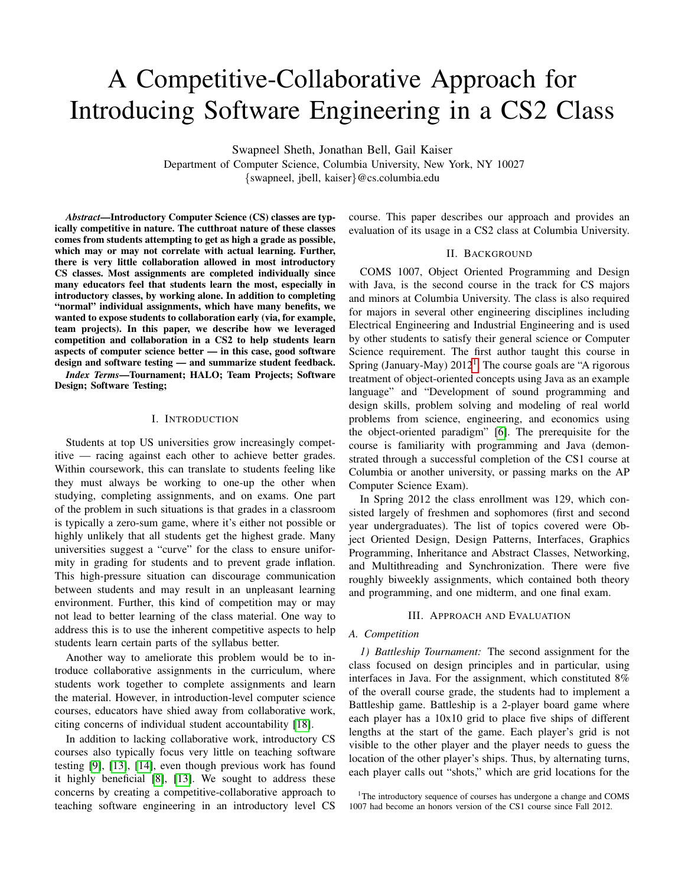# A Competitive-Collaborative Approach for Introducing Software Engineering in a CS2 Class

Swapneel Sheth, Jonathan Bell, Gail Kaiser

Department of Computer Science, Columbia University, New York, NY 10027 {swapneel, jbell, kaiser}@cs.columbia.edu

*Abstract*—Introductory Computer Science (CS) classes are typically competitive in nature. The cutthroat nature of these classes comes from students attempting to get as high a grade as possible, which may or may not correlate with actual learning. Further, there is very little collaboration allowed in most introductory CS classes. Most assignments are completed individually since many educators feel that students learn the most, especially in introductory classes, by working alone. In addition to completing "normal" individual assignments, which have many benefits, we wanted to expose students to collaboration early (via, for example, team projects). In this paper, we describe how we leveraged competition and collaboration in a CS2 to help students learn aspects of computer science better — in this case, good software design and software testing — and summarize student feedback.

*Index Terms*—Tournament; HALO; Team Projects; Software Design; Software Testing;

# I. INTRODUCTION

Students at top US universities grow increasingly competitive — racing against each other to achieve better grades. Within coursework, this can translate to students feeling like they must always be working to one-up the other when studying, completing assignments, and on exams. One part of the problem in such situations is that grades in a classroom is typically a zero-sum game, where it's either not possible or highly unlikely that all students get the highest grade. Many universities suggest a "curve" for the class to ensure uniformity in grading for students and to prevent grade inflation. This high-pressure situation can discourage communication between students and may result in an unpleasant learning environment. Further, this kind of competition may or may not lead to better learning of the class material. One way to address this is to use the inherent competitive aspects to help students learn certain parts of the syllabus better.

Another way to ameliorate this problem would be to introduce collaborative assignments in the curriculum, where students work together to complete assignments and learn the material. However, in introduction-level computer science courses, educators have shied away from collaborative work, citing concerns of individual student accountability [\[18\]](#page-8-0).

In addition to lacking collaborative work, introductory CS courses also typically focus very little on teaching software testing [\[9\]](#page-8-1), [\[13\]](#page-8-2), [\[14\]](#page-8-3), even though previous work has found it highly beneficial [\[8\]](#page-8-4), [\[13\]](#page-8-2). We sought to address these concerns by creating a competitive-collaborative approach to teaching software engineering in an introductory level CS course. This paper describes our approach and provides an evaluation of its usage in a CS2 class at Columbia University.

#### II. BACKGROUND

COMS 1007, Object Oriented Programming and Design with Java, is the second course in the track for CS majors and minors at Columbia University. The class is also required for majors in several other engineering disciplines including Electrical Engineering and Industrial Engineering and is used by other students to satisfy their general science or Computer Science requirement. The first author taught this course in Spring (January-May)  $2012<sup>1</sup>$  $2012<sup>1</sup>$  $2012<sup>1</sup>$ . The course goals are "A rigorous treatment of object-oriented concepts using Java as an example language" and "Development of sound programming and design skills, problem solving and modeling of real world problems from science, engineering, and economics using the object-oriented paradigm" [\[6\]](#page-8-5). The prerequisite for the course is familiarity with programming and Java (demonstrated through a successful completion of the CS1 course at Columbia or another university, or passing marks on the AP Computer Science Exam).

In Spring 2012 the class enrollment was 129, which consisted largely of freshmen and sophomores (first and second year undergraduates). The list of topics covered were Object Oriented Design, Design Patterns, Interfaces, Graphics Programming, Inheritance and Abstract Classes, Networking, and Multithreading and Synchronization. There were five roughly biweekly assignments, which contained both theory and programming, and one midterm, and one final exam.

# III. APPROACH AND EVALUATION

# *A. Competition*

*1) Battleship Tournament:* The second assignment for the class focused on design principles and in particular, using interfaces in Java. For the assignment, which constituted 8% of the overall course grade, the students had to implement a Battleship game. Battleship is a 2-player board game where each player has a 10x10 grid to place five ships of different lengths at the start of the game. Each player's grid is not visible to the other player and the player needs to guess the location of the other player's ships. Thus, by alternating turns, each player calls out "shots," which are grid locations for the

<span id="page-0-0"></span><sup>1</sup>The introductory sequence of courses has undergone a change and COMS 1007 had become an honors version of the CS1 course since Fall 2012.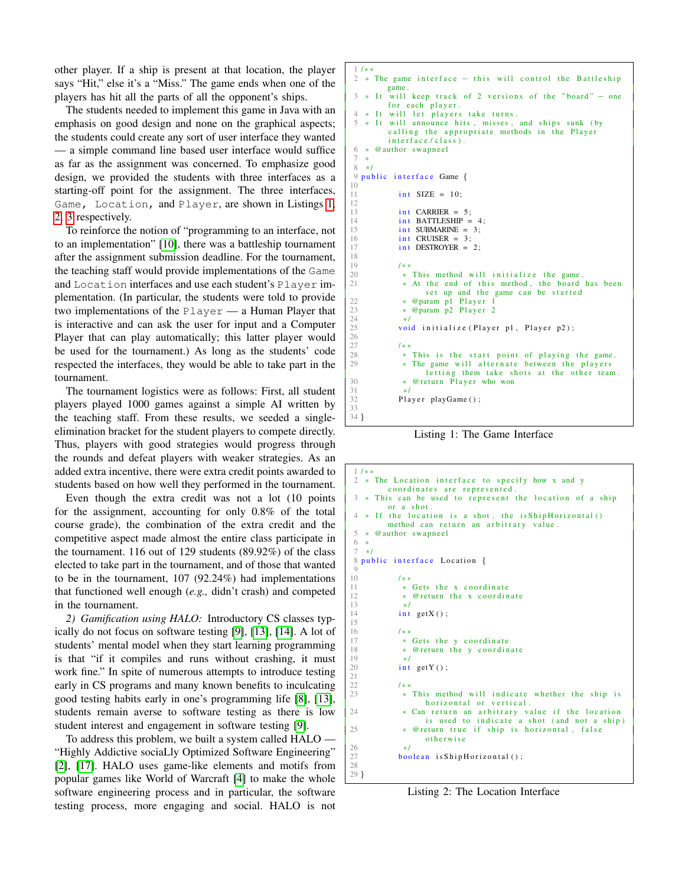other player. If a ship is present at that location, the player says "Hit," else it's a "Miss." The game ends when one of the players has hit all the parts of all the opponent's ships.

The students needed to implement this game in Java with an emphasis on good design and none on the graphical aspects; the students could create any sort of user interface they wanted — a simple command line based user interface would suffice as far as the assignment was concerned. To emphasize good design, we provided the students with three interfaces as a starting-off point for the assignment. The three interfaces, Game, Location, and Player, are shown in Listings [1,](#page-1-0) [2,](#page-1-1) [3](#page-2-0) respectively.

To reinforce the notion of "programming to an interface, not to an implementation" [\[10\]](#page-8-6), there was a battleship tournament after the assignment submission deadline. For the tournament, the teaching staff would provide implementations of the Game and Location interfaces and use each student's Player implementation. (In particular, the students were told to provide two implementations of the Player — a Human Player that is interactive and can ask the user for input and a Computer Player that can play automatically; this latter player would be used for the tournament.) As long as the students' code respected the interfaces, they would be able to take part in the tournament.

The tournament logistics were as follows: First, all student players played 1000 games against a simple AI written by the teaching staff. From these results, we seeded a singleelimination bracket for the student players to compete directly. Thus, players with good strategies would progress through the rounds and defeat players with weaker strategies. As an added extra incentive, there were extra credit points awarded to students based on how well they performed in the tournament.

Even though the extra credit was not a lot (10 points for the assignment, accounting for only 0.8% of the total course grade), the combination of the extra credit and the competitive aspect made almost the entire class participate in the tournament. 116 out of 129 students (89.92%) of the class elected to take part in the tournament, and of those that wanted to be in the tournament, 107 (92.24%) had implementations that functioned well enough (*e.g.,* didn't crash) and competed in the tournament.

*2) Gamification using HALO:* Introductory CS classes typically do not focus on software testing [\[9\]](#page-8-1), [\[13\]](#page-8-2), [\[14\]](#page-8-3). A lot of students' mental model when they start learning programming is that "if it compiles and runs without crashing, it must work fine." In spite of numerous attempts to introduce testing early in CS programs and many known benefits to inculcating good testing habits early in one's programming life [\[8\]](#page-8-4), [\[13\]](#page-8-2), students remain averse to software testing as there is low student interest and engagement in software testing [\[9\]](#page-8-1).

To address this problem, we built a system called HALO — "Highly Addictive sociaLly Optimized Software Engineering" [\[2\]](#page-8-7), [\[17\]](#page-8-8). HALO uses game-like elements and motifs from popular games like World of Warcraft [\[4\]](#page-8-9) to make the whole software engineering process and in particular, the software testing process, more engaging and social. HALO is not

```
\frac{1}{2} /**
     The game interface – this will control the Battleship
         game
 3 * It will keep track of 2 versions of the "board" – one
         for each player.
 4 * It will let players take turns. 5 * It will announce hits, misses.It will announce hits, misses, and ships sunk (by
          calling the appropriate methods in the Player
          interface/class).
 6 * @author swapneel
 7 *
8 * /
9 public interface Game {
10
            int SIZE = 10;
12<br>1313 int CARRIER = 5;<br>14 int BATTLESHIP =
14 int BATTLESHIP = 4;<br>15 int SUBMARINE = 3;
15 int SUBMARINE = 3;<br>16 int CRUISER = 3:
16 int CRUISER = 3;<br>17 int DESTROYER =
            int DESTROYER = 2;
18
\frac{19}{20} /**
20 * This method will initialize the game.<br>21 * At the end of this method, the board
             * At the end of this method, the board has been
                   set up and the game can be started
22 * @param p1 Player 1<br>23 * @param p2 Player 2
23 * @param p2 Player 2<br>24 */
24 * /25 void initialize (Player p1, Player p2);
rac{26}{27}27 /**28 * This is the start point of playing the game.<br>29 * The game will alternate between the players
             * The game will alternate between the players
                   letting them take shots at the other team.
30 * @ return Player who won 31 */
31 * /32 Player playGame ();
33
```
Listing 1: The Game Interface

34 }

```
\frac{1}{2} / * *
   * The Location interface to specify how x and y
          coordinates are represented.
      This can be used to represent the location of a ship
          or a shot.
      If the location is a shot, the is Ship Horizontal ()
          method can return an arbitrary value.
 5 * @author swapneel<br>6 *
 6 *<br>7 */
8 public interface Location {
\frac{9}{10}\begin{array}{ccc} 10 & & & \text{ \textit{1}} \ast \ast \\ 11 & & & \text{ \textit{1}} \end{array}11 * Gets the x coordinate<br>
12 * @return the x coordin
              * @ return the x coordinate<br>*/
13 \\ 14int getX();
\frac{15}{16}\frac{16}{17} /**
17 \ast Gets the y coordinate<br>18 \ast @return the y coordin
18 * @ return the y coordinate<br>19 */
19 \times20 int getY();
\frac{21}{22}\frac{22}{23} /**
             * This method will indicate whether the ship is
                    horizontal or vertical.
24 * Can return an arbitrary value if the location
                    is used to indicate a shot (and not a ship)
25 * @ return true if ship is horizontal, false
                    o therwise
26 * /27 boolean is Ship Horizontal ();
28
29 }
```
Listing 2: The Location Interface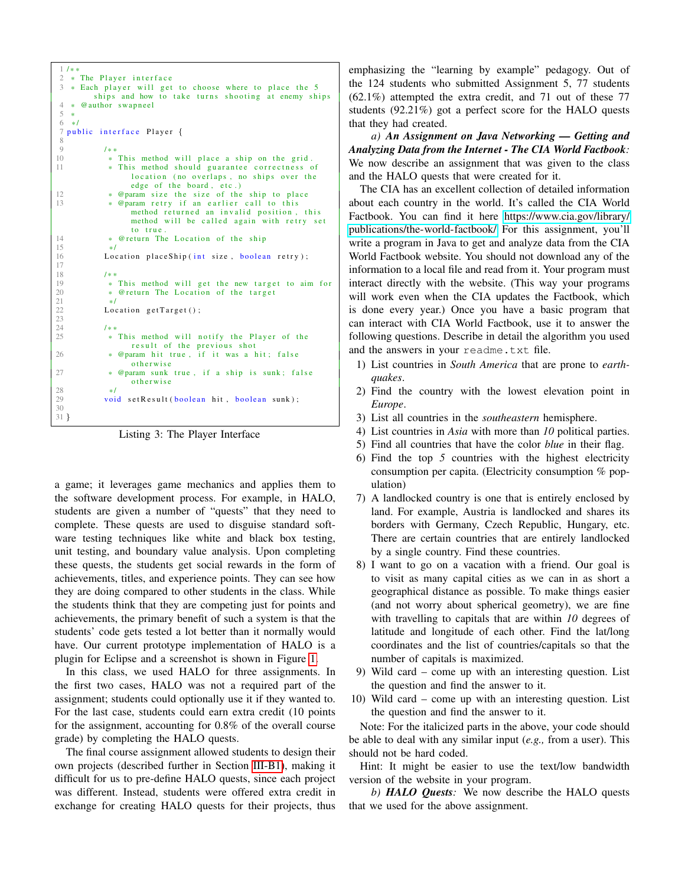```
\frac{1}{2} / * *
 2 * The Player interface<br>3 * Each player will get
     Each player will get to choose where to place the 5
         ships and how to take turns shooting at enemy ships
 4 * @author swapneel
5 *
 6 * /7 public interface Player {
8
9 /**
10 * This method will place a ship on the grid.<br>
11 * This method should guarantee correctness of
             * This method should guarantee correctness of
                  location (no overlaps, no ships over the
                  edge of the board, etc.)
12 * @param size the size of the ship to place<br>13 * @param retry if an earlier call to this
              @param retry if an earlier call to this
                  method returned an invalid position, this
                  method will be called again with retry set
                  to true.
14 * @ return The Location of the ship */
15 \times16 Location placeShip (int size, boolean retry);
\frac{17}{18}\begin{array}{ccc} 18 & & & \end{array} /**
19 * This method will get the new target to aim for 20 * @ return The Location of the target
20 * @ return The Location of the target 21 */
21 * /22 Location getTarget();
\frac{23}{24}24 /**
            * This method will notify the Player of the
                  re sult of the previous shot
26 * @param hit true, if it was a hit; false
                  o therwise
27 * @param sunk true, if a ship is sunk; false
                  o therwise
28 * /29 void set Result (boolean hit, boolean sunk);
30
31 }
```
Listing 3: The Player Interface

a game; it leverages game mechanics and applies them to the software development process. For example, in HALO, students are given a number of "quests" that they need to complete. These quests are used to disguise standard software testing techniques like white and black box testing, unit testing, and boundary value analysis. Upon completing these quests, the students get social rewards in the form of achievements, titles, and experience points. They can see how they are doing compared to other students in the class. While the students think that they are competing just for points and achievements, the primary benefit of such a system is that the students' code gets tested a lot better than it normally would have. Our current prototype implementation of HALO is a plugin for Eclipse and a screenshot is shown in Figure [1.](#page-3-0)

In this class, we used HALO for three assignments. In the first two cases, HALO was not a required part of the assignment; students could optionally use it if they wanted to. For the last case, students could earn extra credit (10 points for the assignment, accounting for 0.8% of the overall course grade) by completing the HALO quests.

The final course assignment allowed students to design their own projects (described further in Section [III-B1\)](#page-4-0), making it difficult for us to pre-define HALO quests, since each project was different. Instead, students were offered extra credit in exchange for creating HALO quests for their projects, thus

emphasizing the "learning by example" pedagogy. Out of the 124 students who submitted Assignment 5, 77 students (62.1%) attempted the extra credit, and 71 out of these 77 students (92.21%) got a perfect score for the HALO quests that they had created.

*a) An Assignment on Java Networking — Getting and Analyzing Data from the Internet - The CIA World Factbook:* We now describe an assignment that was given to the class and the HALO quests that were created for it.

The CIA has an excellent collection of detailed information about each country in the world. It's called the CIA World Factbook. You can find it here [https://www.cia.gov/library/](https://www.cia.gov/library/publications/the-world-factbook/) [publications/the-world-factbook/](https://www.cia.gov/library/publications/the-world-factbook/) For this assignment, you'll write a program in Java to get and analyze data from the CIA World Factbook website. You should not download any of the information to a local file and read from it. Your program must interact directly with the website. (This way your programs will work even when the CIA updates the Factbook, which is done every year.) Once you have a basic program that can interact with CIA World Factbook, use it to answer the following questions. Describe in detail the algorithm you used and the answers in your readme.txt file.

- 1) List countries in *South America* that are prone to *earthquakes*.
- 2) Find the country with the lowest elevation point in *Europe*.
- 3) List all countries in the *southeastern* hemisphere.
- 4) List countries in *Asia* with more than *10* political parties.
- 5) Find all countries that have the color *blue* in their flag.
- 6) Find the top *5* countries with the highest electricity consumption per capita. (Electricity consumption % population)
- 7) A landlocked country is one that is entirely enclosed by land. For example, Austria is landlocked and shares its borders with Germany, Czech Republic, Hungary, etc. There are certain countries that are entirely landlocked by a single country. Find these countries.
- 8) I want to go on a vacation with a friend. Our goal is to visit as many capital cities as we can in as short a geographical distance as possible. To make things easier (and not worry about spherical geometry), we are fine with travelling to capitals that are within *10* degrees of latitude and longitude of each other. Find the lat/long coordinates and the list of countries/capitals so that the number of capitals is maximized.
- 9) Wild card come up with an interesting question. List the question and find the answer to it.
- 10) Wild card come up with an interesting question. List the question and find the answer to it.

Note: For the italicized parts in the above, your code should be able to deal with any similar input (*e.g.,* from a user). This should not be hard coded.

Hint: It might be easier to use the text/low bandwidth version of the website in your program.

*b) HALO Quests:* We now describe the HALO quests that we used for the above assignment.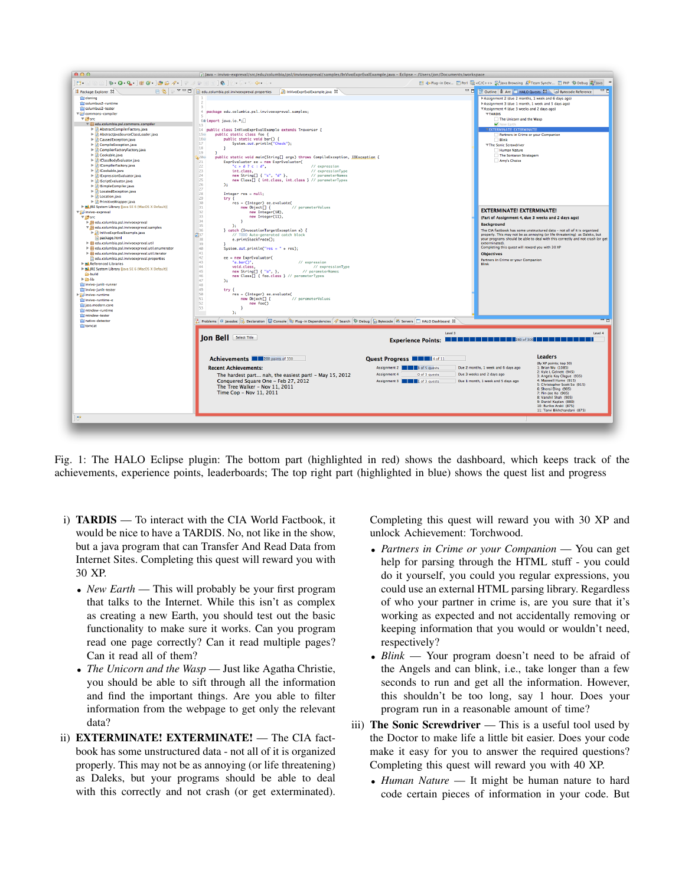<span id="page-3-0"></span>

Fig. 1: The HALO Eclipse plugin: The bottom part (highlighted in red) shows the dashboard, which keeps track of the achievements, experience points, leaderboards; The top right part (highlighted in blue) shows the quest list and progress

- i) TARDIS To interact with the CIA World Factbook, it would be nice to have a TARDIS. No, not like in the show, but a java program that can Transfer And Read Data from Internet Sites. Completing this quest will reward you with 30 XP.
	- *New Earth* This will probably be your first program that talks to the Internet. While this isn't as complex as creating a new Earth, you should test out the basic functionality to make sure it works. Can you program read one page correctly? Can it read multiple pages? Can it read all of them?
	- *The Unicorn and the Wasp* Just like Agatha Christie, you should be able to sift through all the information and find the important things. Are you able to filter information from the webpage to get only the relevant data?
- ii) EXTERMINATE! EXTERMINATE! The CIA factbook has some unstructured data - not all of it is organized properly. This may not be as annoying (or life threatening) as Daleks, but your programs should be able to deal with this correctly and not crash (or get exterminated).

Completing this quest will reward you with 30 XP and unlock Achievement: Torchwood.

- *Partners in Crime or your Companion* You can get help for parsing through the HTML stuff - you could do it yourself, you could you regular expressions, you could use an external HTML parsing library. Regardless of who your partner in crime is, are you sure that it's working as expected and not accidentally removing or keeping information that you would or wouldn't need, respectively?
- *Blink* Your program doesn't need to be afraid of the Angels and can blink, i.e., take longer than a few seconds to run and get all the information. However, this shouldn't be too long, say 1 hour. Does your program run in a reasonable amount of time?
- iii) The Sonic Screwdriver This is a useful tool used by the Doctor to make life a little bit easier. Does your code make it easy for you to answer the required questions? Completing this quest will reward you with 40 XP.
	- *Human Nature* It might be human nature to hard code certain pieces of information in your code. But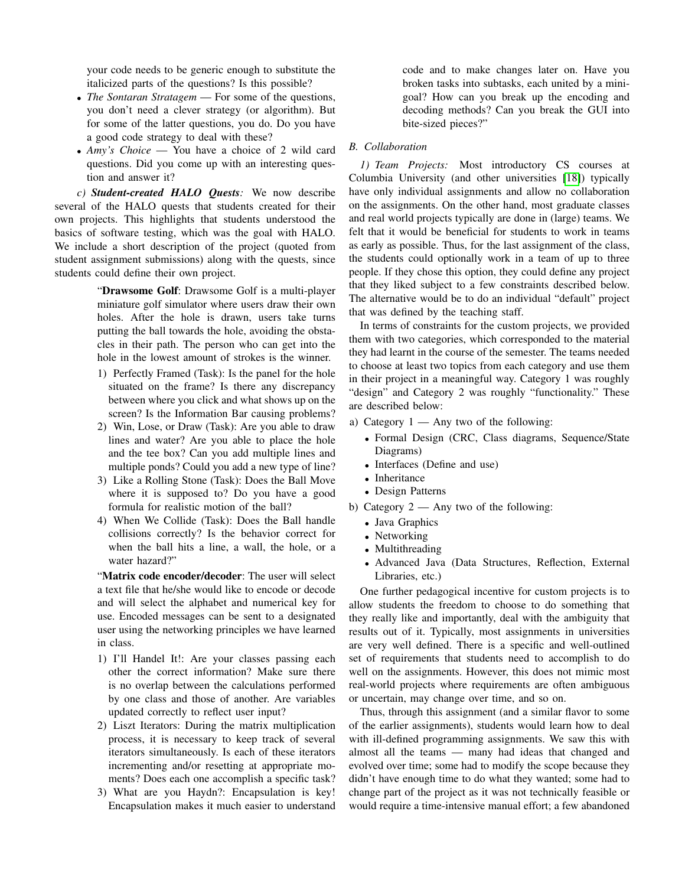your code needs to be generic enough to substitute the italicized parts of the questions? Is this possible?

- *The Sontaran Stratagem* For some of the questions, you don't need a clever strategy (or algorithm). But for some of the latter questions, you do. Do you have a good code strategy to deal with these?
- *Amy's Choice* You have a choice of 2 wild card questions. Did you come up with an interesting question and answer it?

*c) Student-created HALO Quests:* We now describe several of the HALO quests that students created for their own projects. This highlights that students understood the basics of software testing, which was the goal with HALO. We include a short description of the project (quoted from student assignment submissions) along with the quests, since students could define their own project.

> "Drawsome Golf: Drawsome Golf is a multi-player miniature golf simulator where users draw their own holes. After the hole is drawn, users take turns putting the ball towards the hole, avoiding the obstacles in their path. The person who can get into the hole in the lowest amount of strokes is the winner.

- 1) Perfectly Framed (Task): Is the panel for the hole situated on the frame? Is there any discrepancy between where you click and what shows up on the screen? Is the Information Bar causing problems?
- 2) Win, Lose, or Draw (Task): Are you able to draw lines and water? Are you able to place the hole and the tee box? Can you add multiple lines and multiple ponds? Could you add a new type of line?
- 3) Like a Rolling Stone (Task): Does the Ball Move where it is supposed to? Do you have a good formula for realistic motion of the ball?
- 4) When We Collide (Task): Does the Ball handle collisions correctly? Is the behavior correct for when the ball hits a line, a wall, the hole, or a water hazard?"

"Matrix code encoder/decoder: The user will select a text file that he/she would like to encode or decode and will select the alphabet and numerical key for use. Encoded messages can be sent to a designated user using the networking principles we have learned in class.

- 1) I'll Handel It!: Are your classes passing each other the correct information? Make sure there is no overlap between the calculations performed by one class and those of another. Are variables updated correctly to reflect user input?
- 2) Liszt Iterators: During the matrix multiplication process, it is necessary to keep track of several iterators simultaneously. Is each of these iterators incrementing and/or resetting at appropriate moments? Does each one accomplish a specific task?
- 3) What are you Haydn?: Encapsulation is key! Encapsulation makes it much easier to understand

code and to make changes later on. Have you broken tasks into subtasks, each united by a minigoal? How can you break up the encoding and decoding methods? Can you break the GUI into bite-sized pieces?"

# *B. Collaboration*

<span id="page-4-0"></span>*1) Team Projects:* Most introductory CS courses at Columbia University (and other universities [\[18\]](#page-8-0)) typically have only individual assignments and allow no collaboration on the assignments. On the other hand, most graduate classes and real world projects typically are done in (large) teams. We felt that it would be beneficial for students to work in teams as early as possible. Thus, for the last assignment of the class, the students could optionally work in a team of up to three people. If they chose this option, they could define any project that they liked subject to a few constraints described below. The alternative would be to do an individual "default" project that was defined by the teaching staff.

In terms of constraints for the custom projects, we provided them with two categories, which corresponded to the material they had learnt in the course of the semester. The teams needed to choose at least two topics from each category and use them in their project in a meaningful way. Category 1 was roughly "design" and Category 2 was roughly "functionality." These are described below:

a) Category  $1 - Any two of the following:$ 

- Formal Design (CRC, Class diagrams, Sequence/State Diagrams)
- Interfaces (Define and use)
- Inheritance
- Design Patterns
- b) Category  $2 -$  Any two of the following:
	- Java Graphics
	- Networking
	- Multithreading
	- Advanced Java (Data Structures, Reflection, External Libraries, etc.)

One further pedagogical incentive for custom projects is to allow students the freedom to choose to do something that they really like and importantly, deal with the ambiguity that results out of it. Typically, most assignments in universities are very well defined. There is a specific and well-outlined set of requirements that students need to accomplish to do well on the assignments. However, this does not mimic most real-world projects where requirements are often ambiguous or uncertain, may change over time, and so on.

Thus, through this assignment (and a similar flavor to some of the earlier assignments), students would learn how to deal with ill-defined programming assignments. We saw this with almost all the teams — many had ideas that changed and evolved over time; some had to modify the scope because they didn't have enough time to do what they wanted; some had to change part of the project as it was not technically feasible or would require a time-intensive manual effort; a few abandoned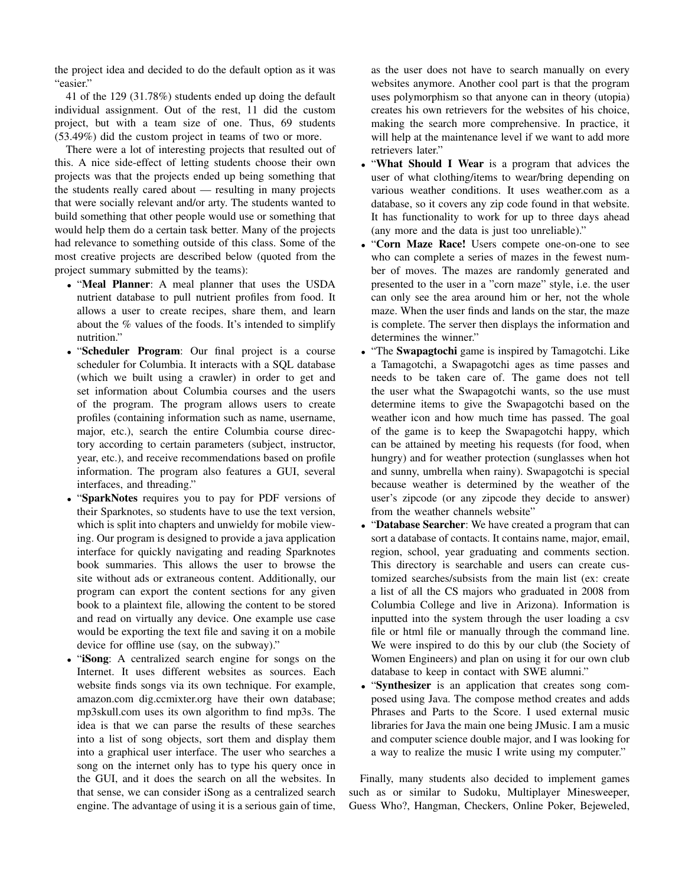the project idea and decided to do the default option as it was "easier."

41 of the 129 (31.78%) students ended up doing the default individual assignment. Out of the rest, 11 did the custom project, but with a team size of one. Thus, 69 students (53.49%) did the custom project in teams of two or more.

There were a lot of interesting projects that resulted out of this. A nice side-effect of letting students choose their own projects was that the projects ended up being something that the students really cared about — resulting in many projects that were socially relevant and/or arty. The students wanted to build something that other people would use or something that would help them do a certain task better. Many of the projects had relevance to something outside of this class. Some of the most creative projects are described below (quoted from the project summary submitted by the teams):

- "Meal Planner: A meal planner that uses the USDA nutrient database to pull nutrient profiles from food. It allows a user to create recipes, share them, and learn about the % values of the foods. It's intended to simplify nutrition."
- "Scheduler Program: Our final project is a course scheduler for Columbia. It interacts with a SQL database (which we built using a crawler) in order to get and set information about Columbia courses and the users of the program. The program allows users to create profiles (containing information such as name, username, major, etc.), search the entire Columbia course directory according to certain parameters (subject, instructor, year, etc.), and receive recommendations based on profile information. The program also features a GUI, several interfaces, and threading."
- "SparkNotes requires you to pay for PDF versions of their Sparknotes, so students have to use the text version, which is split into chapters and unwieldy for mobile viewing. Our program is designed to provide a java application interface for quickly navigating and reading Sparknotes book summaries. This allows the user to browse the site without ads or extraneous content. Additionally, our program can export the content sections for any given book to a plaintext file, allowing the content to be stored and read on virtually any device. One example use case would be exporting the text file and saving it on a mobile device for offline use (say, on the subway)."
- "iSong: A centralized search engine for songs on the Internet. It uses different websites as sources. Each website finds songs via its own technique. For example, amazon.com dig.ccmixter.org have their own database; mp3skull.com uses its own algorithm to find mp3s. The idea is that we can parse the results of these searches into a list of song objects, sort them and display them into a graphical user interface. The user who searches a song on the internet only has to type his query once in the GUI, and it does the search on all the websites. In that sense, we can consider iSong as a centralized search engine. The advantage of using it is a serious gain of time,

as the user does not have to search manually on every websites anymore. Another cool part is that the program uses polymorphism so that anyone can in theory (utopia) creates his own retrievers for the websites of his choice, making the search more comprehensive. In practice, it will help at the maintenance level if we want to add more retrievers later."

- "What Should I Wear is a program that advices the user of what clothing/items to wear/bring depending on various weather conditions. It uses weather.com as a database, so it covers any zip code found in that website. It has functionality to work for up to three days ahead (any more and the data is just too unreliable)."
- "Corn Maze Race! Users compete one-on-one to see who can complete a series of mazes in the fewest number of moves. The mazes are randomly generated and presented to the user in a "corn maze" style, i.e. the user can only see the area around him or her, not the whole maze. When the user finds and lands on the star, the maze is complete. The server then displays the information and determines the winner."
- "The Swapagtochi game is inspired by Tamagotchi. Like a Tamagotchi, a Swapagotchi ages as time passes and needs to be taken care of. The game does not tell the user what the Swapagotchi wants, so the use must determine items to give the Swapagotchi based on the weather icon and how much time has passed. The goal of the game is to keep the Swapagotchi happy, which can be attained by meeting his requests (for food, when hungry) and for weather protection (sunglasses when hot and sunny, umbrella when rainy). Swapagotchi is special because weather is determined by the weather of the user's zipcode (or any zipcode they decide to answer) from the weather channels website"
- "Database Searcher: We have created a program that can sort a database of contacts. It contains name, major, email, region, school, year graduating and comments section. This directory is searchable and users can create customized searches/subsists from the main list (ex: create a list of all the CS majors who graduated in 2008 from Columbia College and live in Arizona). Information is inputted into the system through the user loading a csv file or html file or manually through the command line. We were inspired to do this by our club (the Society of Women Engineers) and plan on using it for our own club database to keep in contact with SWE alumni."
- "Synthesizer is an application that creates song composed using Java. The compose method creates and adds Phrases and Parts to the Score. I used external music libraries for Java the main one being JMusic. I am a music and computer science double major, and I was looking for a way to realize the music I write using my computer."

Finally, many students also decided to implement games such as or similar to Sudoku, Multiplayer Minesweeper, Guess Who?, Hangman, Checkers, Online Poker, Bejeweled,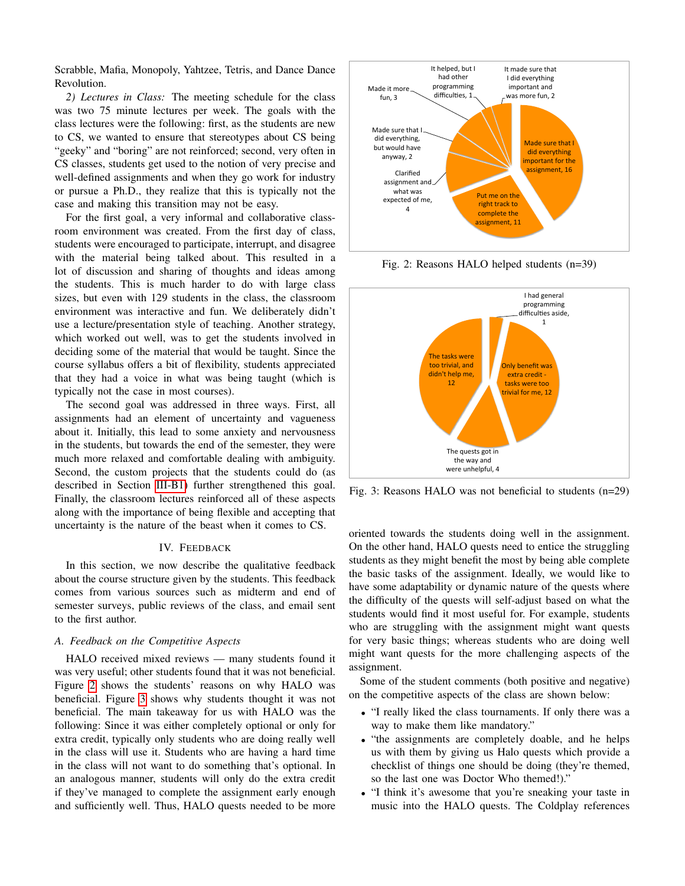Scrabble, Mafia, Monopoly, Yahtzee, Tetris, and Dance Dance Revolution.

*2) Lectures in Class:* The meeting schedule for the class was two 75 minute lectures per week. The goals with the class lectures were the following: first, as the students are new to CS, we wanted to ensure that stereotypes about CS being "geeky" and "boring" are not reinforced; second, very often in CS classes, students get used to the notion of very precise and well-defined assignments and when they go work for industry or pursue a Ph.D., they realize that this is typically not the case and making this transition may not be easy.

For the first goal, a very informal and collaborative classroom environment was created. From the first day of class, students were encouraged to participate, interrupt, and disagree with the material being talked about. This resulted in a lot of discussion and sharing of thoughts and ideas among the students. This is much harder to do with large class sizes, but even with 129 students in the class, the classroom environment was interactive and fun. We deliberately didn't use a lecture/presentation style of teaching. Another strategy, which worked out well, was to get the students involved in deciding some of the material that would be taught. Since the course syllabus offers a bit of flexibility, students appreciated that they had a voice in what was being taught (which is typically not the case in most courses).

The second goal was addressed in three ways. First, all assignments had an element of uncertainty and vagueness about it. Initially, this lead to some anxiety and nervousness in the students, but towards the end of the semester, they were much more relaxed and comfortable dealing with ambiguity. Second, the custom projects that the students could do (as described in Section [III-B1\)](#page-4-0) further strengthened this goal. Finally, the classroom lectures reinforced all of these aspects along with the importance of being flexible and accepting that uncertainty is the nature of the beast when it comes to CS.

# IV. FEEDBACK

In this section, we now describe the qualitative feedback about the course structure given by the students. This feedback comes from various sources such as midterm and end of semester surveys, public reviews of the class, and email sent to the first author.

# *A. Feedback on the Competitive Aspects*

HALO received mixed reviews — many students found it was very useful; other students found that it was not beneficial. Figure [2](#page-6-0) shows the students' reasons on why HALO was beneficial. Figure [3](#page-6-1) shows why students thought it was not beneficial. The main takeaway for us with HALO was the following: Since it was either completely optional or only for extra credit, typically only students who are doing really well in the class will use it. Students who are having a hard time in the class will not want to do something that's optional. In an analogous manner, students will only do the extra credit if they've managed to complete the assignment early enough and sufficiently well. Thus, HALO quests needed to be more

<span id="page-6-0"></span>

Fig. 2: Reasons HALO helped students (n=39)

<span id="page-6-1"></span>

Fig. 3: Reasons HALO was not beneficial to students (n=29)

oriented towards the students doing well in the assignment. On the other hand, HALO quests need to entice the struggling students as they might benefit the most by being able complete the basic tasks of the assignment. Ideally, we would like to have some adaptability or dynamic nature of the quests where the difficulty of the quests will self-adjust based on what the students would find it most useful for. For example, students who are struggling with the assignment might want quests for very basic things; whereas students who are doing well might want quests for the more challenging aspects of the assignment.

Some of the student comments (both positive and negative) on the competitive aspects of the class are shown below:

- "I really liked the class tournaments. If only there was a way to make them like mandatory."
- "the assignments are completely doable, and he helps us with them by giving us Halo quests which provide a checklist of things one should be doing (they're themed, so the last one was Doctor Who themed!)."
- "I think it's awesome that you're sneaking your taste in music into the HALO quests. The Coldplay references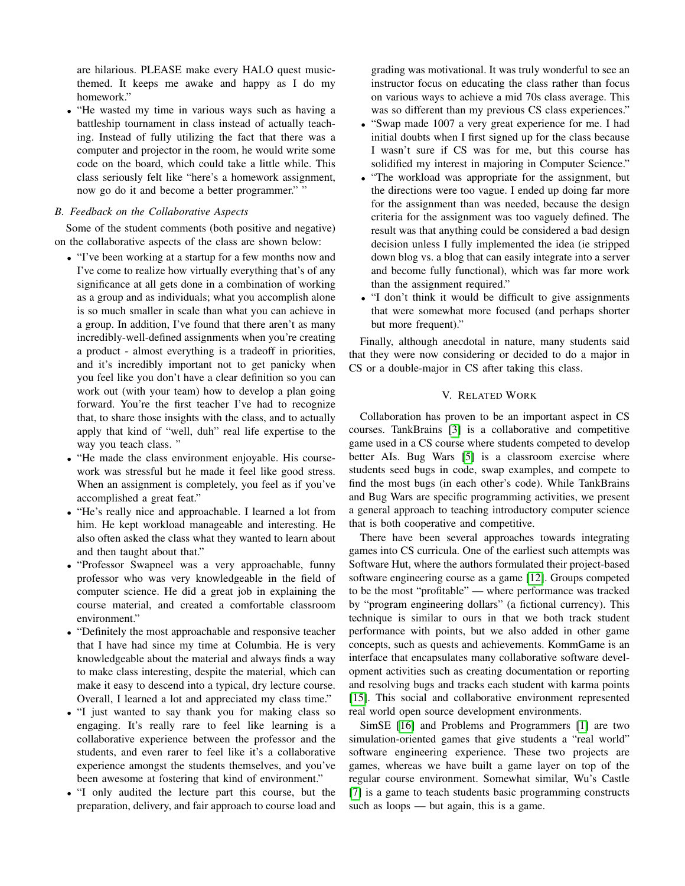are hilarious. PLEASE make every HALO quest musicthemed. It keeps me awake and happy as I do my homework."

• "He wasted my time in various ways such as having a battleship tournament in class instead of actually teaching. Instead of fully utilizing the fact that there was a computer and projector in the room, he would write some code on the board, which could take a little while. This class seriously felt like "here's a homework assignment, now go do it and become a better programmer." "

# *B. Feedback on the Collaborative Aspects*

Some of the student comments (both positive and negative) on the collaborative aspects of the class are shown below:

- "I've been working at a startup for a few months now and I've come to realize how virtually everything that's of any significance at all gets done in a combination of working as a group and as individuals; what you accomplish alone is so much smaller in scale than what you can achieve in a group. In addition, I've found that there aren't as many incredibly-well-defined assignments when you're creating a product - almost everything is a tradeoff in priorities, and it's incredibly important not to get panicky when you feel like you don't have a clear definition so you can work out (with your team) how to develop a plan going forward. You're the first teacher I've had to recognize that, to share those insights with the class, and to actually apply that kind of "well, duh" real life expertise to the way you teach class. "
- "He made the class environment enjoyable. His coursework was stressful but he made it feel like good stress. When an assignment is completely, you feel as if you've accomplished a great feat."
- "He's really nice and approachable. I learned a lot from him. He kept workload manageable and interesting. He also often asked the class what they wanted to learn about and then taught about that."
- "Professor Swapneel was a very approachable, funny professor who was very knowledgeable in the field of computer science. He did a great job in explaining the course material, and created a comfortable classroom environment."
- "Definitely the most approachable and responsive teacher that I have had since my time at Columbia. He is very knowledgeable about the material and always finds a way to make class interesting, despite the material, which can make it easy to descend into a typical, dry lecture course. Overall, I learned a lot and appreciated my class time."
- "I just wanted to say thank you for making class so engaging. It's really rare to feel like learning is a collaborative experience between the professor and the students, and even rarer to feel like it's a collaborative experience amongst the students themselves, and you've been awesome at fostering that kind of environment."
- "I only audited the lecture part this course, but the preparation, delivery, and fair approach to course load and

grading was motivational. It was truly wonderful to see an instructor focus on educating the class rather than focus on various ways to achieve a mid 70s class average. This was so different than my previous CS class experiences."

- "Swap made 1007 a very great experience for me. I had initial doubts when I first signed up for the class because I wasn't sure if CS was for me, but this course has solidified my interest in majoring in Computer Science."
- "The workload was appropriate for the assignment, but the directions were too vague. I ended up doing far more for the assignment than was needed, because the design criteria for the assignment was too vaguely defined. The result was that anything could be considered a bad design decision unless I fully implemented the idea (ie stripped down blog vs. a blog that can easily integrate into a server and become fully functional), which was far more work than the assignment required."
- "I don't think it would be difficult to give assignments that were somewhat more focused (and perhaps shorter but more frequent)."

Finally, although anecdotal in nature, many students said that they were now considering or decided to do a major in CS or a double-major in CS after taking this class.

# V. RELATED WORK

Collaboration has proven to be an important aspect in CS courses. TankBrains [\[3\]](#page-8-10) is a collaborative and competitive game used in a CS course where students competed to develop better AIs. Bug Wars [\[5\]](#page-8-11) is a classroom exercise where students seed bugs in code, swap examples, and compete to find the most bugs (in each other's code). While TankBrains and Bug Wars are specific programming activities, we present a general approach to teaching introductory computer science that is both cooperative and competitive.

There have been several approaches towards integrating games into CS curricula. One of the earliest such attempts was Software Hut, where the authors formulated their project-based software engineering course as a game [\[12\]](#page-8-12). Groups competed to be the most "profitable" — where performance was tracked by "program engineering dollars" (a fictional currency). This technique is similar to ours in that we both track student performance with points, but we also added in other game concepts, such as quests and achievements. KommGame is an interface that encapsulates many collaborative software development activities such as creating documentation or reporting and resolving bugs and tracks each student with karma points [\[15\]](#page-8-13). This social and collaborative environment represented real world open source development environments.

SimSE [\[16\]](#page-8-14) and Problems and Programmers [\[1\]](#page-8-15) are two simulation-oriented games that give students a "real world" software engineering experience. These two projects are games, whereas we have built a game layer on top of the regular course environment. Somewhat similar, Wu's Castle [\[7\]](#page-8-16) is a game to teach students basic programming constructs such as loops — but again, this is a game.